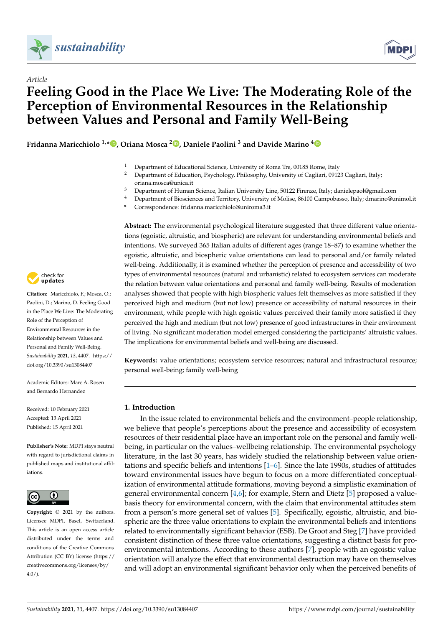



# *Article* **Feeling Good in the Place We Live: The Moderating Role of the Perception of Environmental Resources in the Relationship between Values and Personal and Family Well-Being**

**Fridanna Maricchiolo 1,\* [,](https://orcid.org/0000-0002-6230-6609) Oriana Mosca <sup>2</sup> [,](https://orcid.org/0000-0002-4873-3161) Daniele Paolini <sup>3</sup> and Davide Marino [4](https://orcid.org/0000-0003-2471-6612)**

- <sup>1</sup> Department of Educational Science, University of Roma Tre, 00185 Rome, Italy
- <sup>2</sup> Department of Education, Psychology, Philosophy, University of Cagliari, 09123 Cagliari, Italy; oriana.mosca@unica.it
- <sup>3</sup> Department of Human Science, Italian University Line, 50122 Firenze, Italy; danielepaol@gmail.com
- <sup>4</sup> Department of Biosciences and Territory, University of Molise, 86100 Campobasso, Italy; dmarino@unimol.it
- **\*** Correspondence: fridanna.maricchiolo@uniroma3.it



**Citation:** Maricchiolo, F.; Mosca, O.; Paolini, D.; Marino, D. Feeling Good in the Place We Live: The Moderating Role of the Perception of Environmental Resources in the Relationship between Values and Personal and Family Well-Being. *Sustainability* **2021**, *13*, 4407. [https://](https://doi.org/10.3390/su13084407) [doi.org/10.3390/su13084407](https://doi.org/10.3390/su13084407)

Academic Editors: Marc A. Rosen and Bernardo Hernandez

Received: 10 February 2021 Accepted: 13 April 2021 Published: 15 April 2021

**Publisher's Note:** MDPI stays neutral with regard to jurisdictional claims in published maps and institutional affiliations.



**Copyright:** © 2021 by the authors. Licensee MDPI, Basel, Switzerland. This article is an open access article distributed under the terms and conditions of the Creative Commons Attribution (CC BY) license (https:/[/](https://creativecommons.org/licenses/by/4.0/) [creativecommons.org/licenses/by/](https://creativecommons.org/licenses/by/4.0/)  $4.0/$ ).

**Abstract:** The environmental psychological literature suggested that three different value orientations (egoistic, altruistic, and biospheric) are relevant for understanding environmental beliefs and intentions. We surveyed 365 Italian adults of different ages (range 18–87) to examine whether the egoistic, altruistic, and biospheric value orientations can lead to personal and/or family related well-being. Additionally, it is examined whether the perception of presence and accessibility of two types of environmental resources (natural and urbanistic) related to ecosystem services can moderate the relation between value orientations and personal and family well-being. Results of moderation analyses showed that people with high biospheric values felt themselves as more satisfied if they perceived high and medium (but not low) presence or accessibility of natural resources in their environment, while people with high egoistic values perceived their family more satisfied if they perceived the high and medium (but not low) presence of good infrastructures in their environment of living. No significant moderation model emerged considering the participants' altruistic values. The implications for environmental beliefs and well-being are discussed.

**Keywords:** value orientations; ecosystem service resources; natural and infrastructural resource; personal well-being; family well-being

# **1. Introduction**

In the issue related to environmental beliefs and the environment–people relationship, we believe that people's perceptions about the presence and accessibility of ecosystem resources of their residential place have an important role on the personal and family wellbeing, in particular on the values–wellbeing relationship. The environmental psychology literature, in the last 30 years, has widely studied the relationship between value orientations and specific beliefs and intentions [\[1](#page-10-0)[–6\]](#page-10-1). Since the late 1990s, studies of attitudes toward environmental issues have begun to focus on a more differentiated conceptualization of environmental attitude formations, moving beyond a simplistic examination of general environmental concern [\[4,](#page-10-2)[6\]](#page-10-1); for example, Stern and Dietz [\[5\]](#page-10-3) proposed a valuebasis theory for environmental concern, with the claim that environmental attitudes stem from a person's more general set of values [\[5\]](#page-10-3). Specifically, egoistic, altruistic, and biospheric are the three value orientations to explain the environmental beliefs and intentions related to environmentally significant behavior (ESB). De Groot and Steg [\[7\]](#page-10-4) have provided consistent distinction of these three value orientations, suggesting a distinct basis for proenvironmental intentions. According to these authors [\[7\]](#page-10-4), people with an egoistic value orientation will analyze the effect that environmental destruction may have on themselves and will adopt an environmental significant behavior only when the perceived benefits of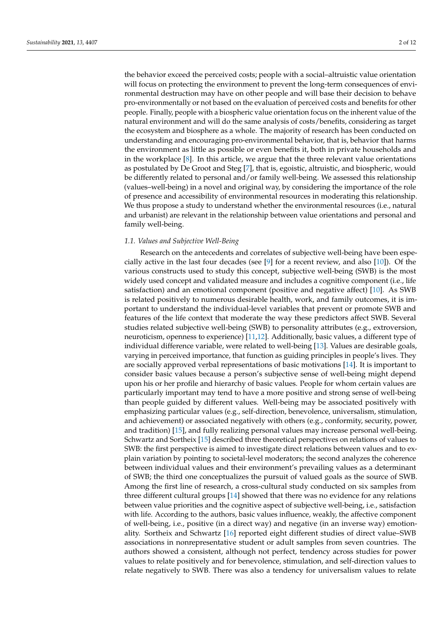the behavior exceed the perceived costs; people with a social–altruistic value orientation will focus on protecting the environment to prevent the long-term consequences of environmental destruction may have on other people and will base their decision to behave pro-environmentally or not based on the evaluation of perceived costs and benefits for other people. Finally, people with a biospheric value orientation focus on the inherent value of the natural environment and will do the same analysis of costs/benefits, considering as target the ecosystem and biosphere as a whole. The majority of research has been conducted on understanding and encouraging pro-environmental behavior, that is, behavior that harms the environment as little as possible or even benefits it, both in private households and in the workplace  $[8]$ . In this article, we argue that the three relevant value orientations as postulated by De Groot and Steg [\[7\]](#page-10-4), that is, egoistic, altruistic, and biospheric, would be differently related to personal and/or family well-being. We assessed this relationship (values–well-being) in a novel and original way, by considering the importance of the role of presence and accessibility of environmental resources in moderating this relationship. We thus propose a study to understand whether the environmental resources (i.e., natural and urbanist) are relevant in the relationship between value orientations and personal and family well-being.

#### *1.1. Values and Subjective Well-Being*

Research on the antecedents and correlates of subjective well-being have been especially active in the last four decades (see [\[9\]](#page-11-1) for a recent review, and also [\[10\]](#page-11-2)). Of the various constructs used to study this concept, subjective well-being (SWB) is the most widely used concept and validated measure and includes a cognitive component (i.e., life satisfaction) and an emotional component (positive and negative affect) [\[10\]](#page-11-2). As SWB is related positively to numerous desirable health, work, and family outcomes, it is important to understand the individual-level variables that prevent or promote SWB and features of the life context that moderate the way these predictors affect SWB. Several studies related subjective well-being (SWB) to personality attributes (e.g., extroversion, neuroticism, openness to experience) [\[11](#page-11-3)[,12\]](#page-11-4). Additionally, basic values, a different type of individual difference variable, were related to well-being [\[13\]](#page-11-5). Values are desirable goals, varying in perceived importance, that function as guiding principles in people's lives. They are socially approved verbal representations of basic motivations [\[14\]](#page-11-6). It is important to consider basic values because a person's subjective sense of well-being might depend upon his or her profile and hierarchy of basic values. People for whom certain values are particularly important may tend to have a more positive and strong sense of well-being than people guided by different values. Well-being may be associated positively with emphasizing particular values (e.g., self-direction, benevolence, universalism, stimulation, and achievement) or associated negatively with others (e.g., conformity, security, power, and tradition) [\[15\]](#page-11-7), and fully realizing personal values may increase personal well-being. Schwartz and Sortheix [\[15\]](#page-11-7) described three theoretical perspectives on relations of values to SWB: the first perspective is aimed to investigate direct relations between values and to explain variation by pointing to societal-level moderators; the second analyzes the coherence between individual values and their environment's prevailing values as a determinant of SWB; the third one conceptualizes the pursuit of valued goals as the source of SWB. Among the first line of research, a cross-cultural study conducted on six samples from three different cultural groups [\[14\]](#page-11-6) showed that there was no evidence for any relations between value priorities and the cognitive aspect of subjective well-being, i.e., satisfaction with life. According to the authors, basic values influence, weakly, the affective component of well-being, i.e., positive (in a direct way) and negative (in an inverse way) emotionality. Sortheix and Schwartz [\[16\]](#page-11-8) reported eight different studies of direct value–SWB associations in nonrepresentative student or adult samples from seven countries. The authors showed a consistent, although not perfect, tendency across studies for power values to relate positively and for benevolence, stimulation, and self-direction values to relate negatively to SWB. There was also a tendency for universalism values to relate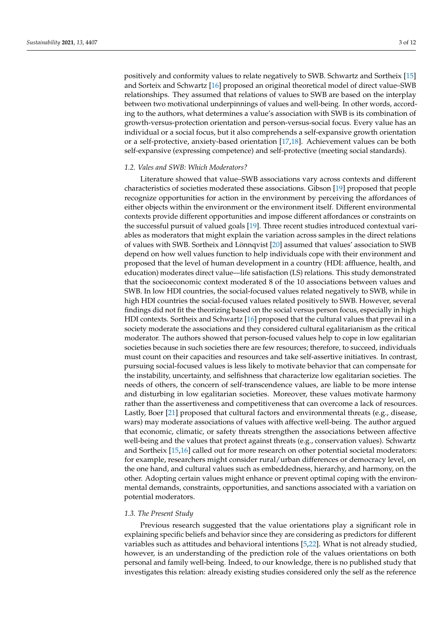positively and conformity values to relate negatively to SWB. Schwartz and Sortheix [\[15\]](#page-11-7) and Sorteix and Schwartz [\[16\]](#page-11-8) proposed an original theoretical model of direct value–SWB relationships. They assumed that relations of values to SWB are based on the interplay between two motivational underpinnings of values and well-being. In other words, according to the authors, what determines a value's association with SWB is its combination of growth-versus-protection orientation and person-versus-social focus. Every value has an individual or a social focus, but it also comprehends a self-expansive growth orientation or a self-protective, anxiety-based orientation [\[17](#page-11-9)[,18\]](#page-11-10). Achievement values can be both self-expansive (expressing competence) and self-protective (meeting social standards).

## *1.2. Vales and SWB: Which Moderators?*

Literature showed that value–SWB associations vary across contexts and different characteristics of societies moderated these associations. Gibson [\[19\]](#page-11-11) proposed that people recognize opportunities for action in the environment by perceiving the affordances of either objects within the environment or the environment itself. Different environmental contexts provide different opportunities and impose different affordances or constraints on the successful pursuit of valued goals [\[19\]](#page-11-11). Three recent studies introduced contextual variables as moderators that might explain the variation across samples in the direct relations of values with SWB. Sortheix and Lönnqvist [\[20\]](#page-11-12) assumed that values' association to SWB depend on how well values function to help individuals cope with their environment and proposed that the level of human development in a country (HDI: affluence, health, and education) moderates direct value—life satisfaction (LS) relations. This study demonstrated that the socioeconomic context moderated 8 of the 10 associations between values and SWB. In low HDI countries, the social-focused values related negatively to SWB, while in high HDI countries the social-focused values related positively to SWB. However, several findings did not fit the theorizing based on the social versus person focus, especially in high HDI contexts. Sortheix and Schwartz [\[16\]](#page-11-8) proposed that the cultural values that prevail in a society moderate the associations and they considered cultural egalitarianism as the critical moderator. The authors showed that person-focused values help to cope in low egalitarian societies because in such societies there are few resources; therefore, to succeed, individuals must count on their capacities and resources and take self-assertive initiatives. In contrast, pursuing social-focused values is less likely to motivate behavior that can compensate for the instability, uncertainty, and selfishness that characterize low egalitarian societies. The needs of others, the concern of self-transcendence values, are liable to be more intense and disturbing in low egalitarian societies. Moreover, these values motivate harmony rather than the assertiveness and competitiveness that can overcome a lack of resources. Lastly, Boer [\[21\]](#page-11-13) proposed that cultural factors and environmental threats (e.g., disease, wars) may moderate associations of values with affective well-being. The author argued that economic, climatic, or safety threats strengthen the associations between affective well-being and the values that protect against threats (e.g., conservation values). Schwartz and Sortheix [\[15](#page-11-7)[,16\]](#page-11-8) called out for more research on other potential societal moderators: for example, researchers might consider rural/urban differences or democracy level, on the one hand, and cultural values such as embeddedness, hierarchy, and harmony, on the other. Adopting certain values might enhance or prevent optimal coping with the environmental demands, constraints, opportunities, and sanctions associated with a variation on potential moderators.

#### *1.3. The Present Study*

Previous research suggested that the value orientations play a significant role in explaining specific beliefs and behavior since they are considering as predictors for different variables such as attitudes and behavioral intentions [\[5,](#page-10-3)[22\]](#page-11-14). What is not already studied, however, is an understanding of the prediction role of the values orientations on both personal and family well-being. Indeed, to our knowledge, there is no published study that investigates this relation: already existing studies considered only the self as the reference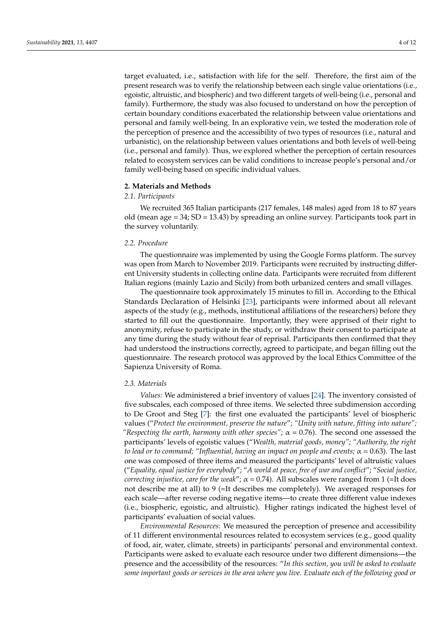target evaluated, i.e., satisfaction with life for the self. Therefore, the first aim of the present research was to verify the relationship between each single value orientations (i.e., egoistic, altruistic, and biospheric) and two different targets of well-being (i.e., personal and family). Furthermore, the study was also focused to understand on how the perception of certain boundary conditions exacerbated the relationship between value orientations and personal and family well-being. In an explorative vein, we tested the moderation role of the perception of presence and the accessibility of two types of resources (i.e., natural and urbanistic), on the relationship between values orientations and both levels of well-being (i.e., personal and family). Thus, we explored whether the perception of certain resources related to ecosystem services can be valid conditions to increase people's personal and/or family well-being based on specific individual values.

#### **2. Materials and Methods**

#### *2.1. Participants*

We recruited 365 Italian participants (217 females, 148 males) aged from 18 to 87 years old (mean age  $= 34$ ; SD  $= 13.43$ ) by spreading an online survey. Participants took part in the survey voluntarily.

#### *2.2. Procedure*

The questionnaire was implemented by using the Google Forms platform. The survey was open from March to November 2019. Participants were recruited by instructing different University students in collecting online data. Participants were recruited from different Italian regions (mainly Lazio and Sicily) from both urbanized centers and small villages.

The questionnaire took approximately 15 minutes to fill in. According to the Ethical Standards Declaration of Helsinki [\[23\]](#page-11-15), participants were informed about all relevant aspects of the study (e.g., methods, institutional affiliations of the researchers) before they started to fill out the questionnaire. Importantly, they were apprised of their right to anonymity, refuse to participate in the study, or withdraw their consent to participate at any time during the study without fear of reprisal. Participants then confirmed that they had understood the instructions correctly, agreed to participate, and began filling out the questionnaire. The research protocol was approved by the local Ethics Committee of the Sapienza University of Roma.

#### *2.3. Materials*

*Values:* We administered a brief inventory of values [\[24\]](#page-11-16). The inventory consisted of five subscales, each composed of three items. We selected three subdimension according to De Groot and Steg [\[7\]](#page-10-4): the first one evaluated the participants' level of biospheric values ("*Protect the environment, preserve the nature*"; *"Unity with nature, fitting into nature"; "Respecting the earth, harmony with other species"*;  $\alpha = 0.76$ ). The second one assessed the participants' levels of egoistic values ("*Wealth, material goods, money"; "Authority, the right to lead or to command; "Influential, having an impact on people and events;*  $\alpha = 0.63$ ). The last one was composed of three items and measured the participants' level of altruistic values ("*Equality, equal justice for everybody*"; "*A world at peace, free of war and conflict*"; "*Social justice, correcting injustice, care for the weak"*;  $\alpha = 0.74$ ). All subscales were ranged from 1 (=It does not describe me at all) to 9 (=It describes me completely). We averaged responses for each scale—after reverse coding negative items—to create three different value indexes (i.e., biospheric, egoistic, and altruistic). Higher ratings indicated the highest level of participants' evaluation of social values.

*Environmental Resources*: We measured the perception of presence and accessibility of 11 different environmental resources related to ecosystem services (e.g., good quality of food, air, water, climate, streets) in participants' personal and environmental context. Participants were asked to evaluate each resource under two different dimensions—the presence and the accessibility of the resources: "*In this section, you will be asked to evaluate some important goods or services in the area where you live. Evaluate each of the following good or*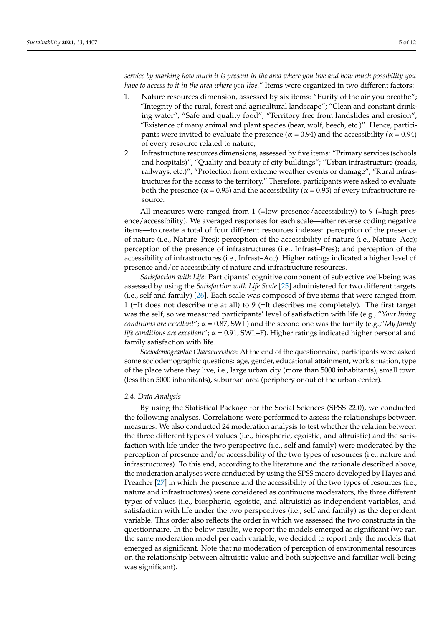*service by marking how much it is present in the area where you live and how much possibility you have to access to it in the area where you live.*" Items were organized in two different factors:

- 1. Nature resources dimension, assessed by six items: "Purity of the air you breathe"; "Integrity of the rural, forest and agricultural landscape"; "Clean and constant drinking water"; "Safe and quality food"; "Territory free from landslides and erosion"; "Existence of many animal and plant species (bear, wolf, beech, etc.)". Hence, participants were invited to evaluate the presence ( $\alpha$  = 0.94) and the accessibility ( $\alpha$  = 0.94) of every resource related to nature;
- 2. Infrastructure resources dimensions, assessed by five items: "Primary services (schools and hospitals)"; "Quality and beauty of city buildings"; "Urban infrastructure (roads, railways, etc.)"; "Protection from extreme weather events or damage"; "Rural infrastructures for the access to the territory." Therefore, participants were asked to evaluate both the presence ( $\alpha$  = 0.93) and the accessibility ( $\alpha$  = 0.93) of every infrastructure resource.

All measures were ranged from 1 (=low presence/accessibility) to 9 (=high presence/accessibility). We averaged responses for each scale—after reverse coding negative items—to create a total of four different resources indexes: perception of the presence of nature (i.e., Nature–Pres); perception of the accessibility of nature (i.e., Nature–Acc); perception of the presence of infrastructures (i.e., Infrast–Pres); and perception of the accessibility of infrastructures (i.e., Infrast–Acc). Higher ratings indicated a higher level of presence and/or accessibility of nature and infrastructure resources.

*Satisfaction with Life*: Participants' cognitive component of subjective well-being was assessed by using the *Satisfaction with Life Scale* [\[25\]](#page-11-17) administered for two different targets (i.e., self and family) [\[26\]](#page-11-18). Each scale was composed of five items that were ranged from 1 (=It does not describe me at all) to 9 (=It describes me completely). The first target was the self, so we measured participants' level of satisfaction with life (e.g., "*Your living conditions are excellent*"; α = 0.87, SWL) and the second one was the family (e.g.,"*My family life conditions are excellent*"; α = 0.91, SWL–F). Higher ratings indicated higher personal and family satisfaction with life.

*Sociodemographic Characteristics*: At the end of the questionnaire, participants were asked some sociodemographic questions: age, gender, educational attainment, work situation, type of the place where they live, i.e., large urban city (more than 5000 inhabitants), small town (less than 5000 inhabitants), suburban area (periphery or out of the urban center).

#### *2.4. Data Analysis*

By using the Statistical Package for the Social Sciences (SPSS 22.0), we conducted the following analyses. Correlations were performed to assess the relationships between measures. We also conducted 24 moderation analysis to test whether the relation between the three different types of values (i.e., biospheric, egoistic, and altruistic) and the satisfaction with life under the two perspective (i.e., self and family) were moderated by the perception of presence and/or accessibility of the two types of resources (i.e., nature and infrastructures). To this end, according to the literature and the rationale described above, the moderation analyses were conducted by using the SPSS macro developed by Hayes and Preacher [\[27\]](#page-11-19) in which the presence and the accessibility of the two types of resources (i.e., nature and infrastructures) were considered as continuous moderators, the three different types of values (i.e., biospheric, egoistic, and altruistic) as independent variables, and satisfaction with life under the two perspectives (i.e., self and family) as the dependent variable. This order also reflects the order in which we assessed the two constructs in the questionnaire. In the below results, we report the models emerged as significant (we ran the same moderation model per each variable; we decided to report only the models that emerged as significant. Note that no moderation of perception of environmental resources on the relationship between altruistic value and both subjective and familiar well-being was significant).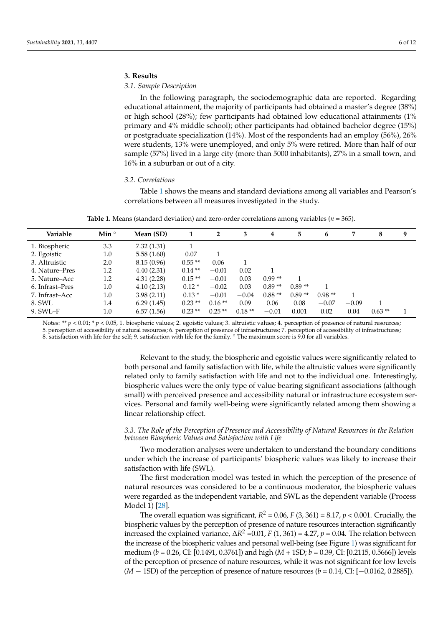#### **3. Results**

#### *3.1. Sample Description*

In the following paragraph, the sociodemographic data are reported. Regarding educational attainment, the majority of participants had obtained a master's degree (38%) or high school (28%); few participants had obtained low educational attainments (1% primary and 4% middle school); other participants had obtained bachelor degree (15%) or postgraduate specialization (14%). Most of the respondents had an employ (56%), 26% were students, 13% were unemployed, and only 5% were retired. More than half of our sample (57%) lived in a large city (more than 5000 inhabitants), 27% in a small town, and 16% in a suburban or out of a city.

#### *3.2. Correlations*

Table [1](#page-5-0) shows the means and standard deviations among all variables and Pearson's correlations between all measures investigated in the study.

|  |  |  |  |  |  |  |  |  |  |  |  | <b>Table 1.</b> Means (standard deviation) and zero-order correlations among variables ( $n = 365$ ). |  |  |  |
|--|--|--|--|--|--|--|--|--|--|--|--|-------------------------------------------------------------------------------------------------------|--|--|--|
|--|--|--|--|--|--|--|--|--|--|--|--|-------------------------------------------------------------------------------------------------------|--|--|--|

<span id="page-5-0"></span>

| Variable        | Min $\degree$ | Mean (SD)  |          | $\mathbf{2}$ | 3        | 4        | 5        | 6        |         | 8        | 9 |
|-----------------|---------------|------------|----------|--------------|----------|----------|----------|----------|---------|----------|---|
| 1. Biospheric   | 3.3           | 7.32(1.31) |          |              |          |          |          |          |         |          |   |
| 2. Egoistic     | 1.0           | 5.58(1.60) | 0.07     |              |          |          |          |          |         |          |   |
| 3. Altruistic   | 2.0           | 8.15(0.96) | $0.55**$ | 0.06         |          |          |          |          |         |          |   |
| 4. Nature–Pres  | 1.2           | 4.40(2.31) | $0.14**$ | $-0.01$      | 0.02     |          |          |          |         |          |   |
| 5. Nature–Acc   | 1.2           | 4.31(2.28) | $0.15**$ | $-0.01$      | 0.03     | $0.99**$ |          |          |         |          |   |
| 6. Infrast–Pres | 1.0           | 4.10(2.13) | $0.12*$  | $-0.02$      | 0.03     | $0.89**$ | $0.89**$ |          |         |          |   |
| 7. Infrast-Acc  | 1.0           | 3.98(2.11) | $0.13*$  | $-0.01$      | $-0.04$  | $0.88**$ | $0.89**$ | $0.98**$ |         |          |   |
| 8. SWL          | 1.4           | 6.29(1.45) | $0.23**$ | $0.16**$     | 0.09     | 0.06     | 0.08     | $-0.07$  | $-0.09$ |          |   |
| 9. SWL-F        | $1.0\,$       | 6.57(1.56) | $0.23**$ | $0.25**$     | $0.18**$ | $-0.01$  | 0.001    | 0.02     | 0.04    | $0.63**$ |   |
|                 |               |            |          |              |          |          |          |          |         |          |   |

Notes: \*\*  $p < 0.01$ ; \*  $p < 0.05$ , 1. biospheric values; 2. egoistic values; 3. altruistic values; 4. perception of presence of natural resources; 5. perception of accessibility of natural resources; 6. perception of presence of infrastructures; 7. perception of accessibility of infrastructures; 8. satisfaction with life for the self; 9. satisfaction with life for the family. ◦ The maximum score is 9.0 for all variables.

> Relevant to the study, the biospheric and egoistic values were significantly related to both personal and family satisfaction with life, while the altruistic values were significantly related only to family satisfaction with life and not to the individual one. Interestingly, biospheric values were the only type of value bearing significant associations (although small) with perceived presence and accessibility natural or infrastructure ecosystem services. Personal and family well-being were significantly related among them showing a linear relationship effect.

#### *3.3. The Role of the Perception of Presence and Accessibility of Natural Resources in the Relation between Biospheric Values and Satisfaction with Life*

Two moderation analyses were undertaken to understand the boundary conditions under which the increase of participants' biospheric values was likely to increase their satisfaction with life (SWL).

The first moderation model was tested in which the perception of the presence of natural resources was considered to be a continuous moderator, the biospheric values were regarded as the independent variable, and SWL as the dependent variable (Process Model 1) [\[28\]](#page-11-20).

The overall equation was significant,  $R^2$  = 0.06,  $F$  (3, 361) = 8.17,  $p$  < 0.001. Crucially, the biospheric values by the perception of presence of nature resources interaction significantly increased the explained variance,  $\Delta R^2$  =0.01, *F* (1, 361) = 4.27, *p* = 0.04. The relation between the increase of the biospheric values and personal well-being (see Figure [1\)](#page-6-0) was significant for medium (*b* = 0.26, CI: [0.1491, 0.3761]) and high (*M* + 1SD; *b* = 0.39, CI: [0.2115, 0.5666]) levels of the perception of presence of nature resources, while it was not significant for low levels (*M* − 1SD) of the perception of presence of nature resources (*b* = 0.14, CI: [−0.0162, 0.2885]).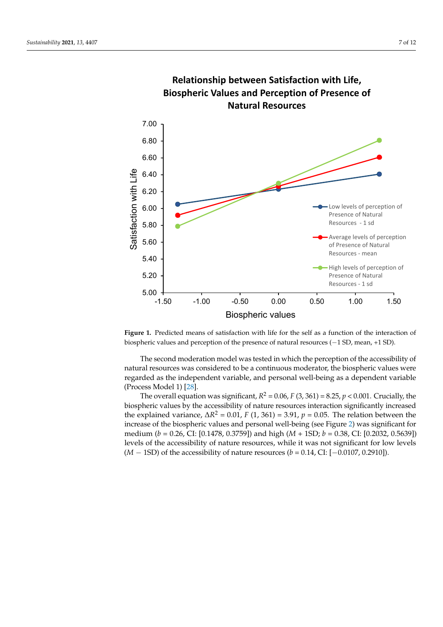<span id="page-6-0"></span>

**Relationship between Satisfaction with Life, Biospheric Values and Perception of Presence of** 

biospheric values and perception of the presence of natural resources (−1 SD, mean, +1 SD). **Figure 1.** Predicted means of satisfaction with life for the self as a function of the interaction of

The second moderation model was tested in which the perception of the accessibility of natural resources was considered to be a continuous moderator, the biospheric values were regarded as the independent variable, and personal well-being as a dependent variable (Process Model 1) [\[28\]](#page-11-20).

The overall equation was significant,  $R^2$  = 0.06,  $F$  (3, 361) = 8.25,  $p$  < 0.001. Crucially, the biospheric values by the accessibility of nature resources interaction significantly increased the explained variance,  $\Delta R^2$  = 0.01, *F* (1, 361) = 3.91, *p* = 0.05. The relation between the increase of the biospheric values and personal well-being (see Figure [2\)](#page-7-0) was significant for medium (*b* = 0.26, CI: [0.1478, 0.3759]) and high (*M* + 1SD; *b* = 0.38, CI: [0.2032, 0.5639]) levels of the accessibility of nature resources, while it was not significant for low levels (*M* − 1SD) of the accessibility of nature resources (*b* = 0.14, CI: [−0.0107, 0.2910]).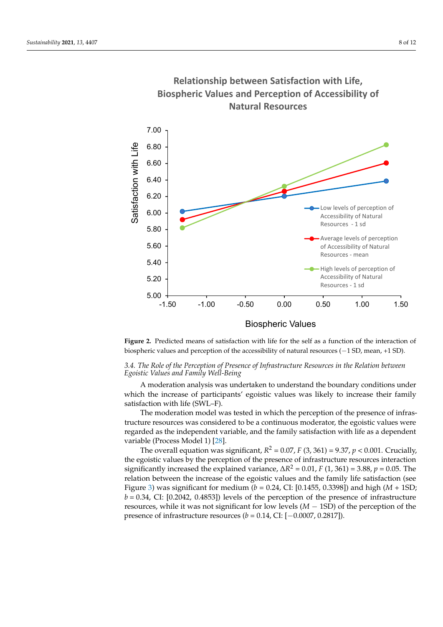

<span id="page-7-0"></span>**Relationship between Satisfaction with Life, Biospheric Values and Perception of Accessibility of Natural Resources**

**Figure 2.** Predicted means of satisfaction with life for the self as a function of the interaction of **Figure 2.** Predicted means of satisfaction with life for the self as a function of the interaction of biospheric values and perception of the accessibility of natural resources (−1 SD, mean, +1 SD). biospheric values and perception of the accessibility of natural resources (−1 SD, mean, +1 SD).

## *3.4. The Role of the Perception of Presence of Infrastructure Resources in the Relation between Egoistic Values and Family Well-Being*

A moderation analysis was undertaken to understand the boundary conditions under which the increase of participants' egoistic values was likely to increase their family satisfaction with life (SWL–F).

The moderation model was tested in which the perception of the presence of infrastructure resources was considered to be a continuous moderator, the egoistic values were regarded as the independent variable, and the family satisfaction with life as a dependent variable (Process Model 1) [\[28\]](#page-11-20).

The overall equation was significant,  $R^2$  = 0.07, *F* (3, 361) = 9.37, *p* < 0.001. Crucially, the egoistic values by the perception of the presence of infrastructure resources interaction significantly increased the explained variance,  $\Delta R^2 = 0.01$ , *F* (1, 361) = 3.88, *p* = 0.05. The relation between the increase of the egoistic values and the family life satisfaction (see Figure [3\)](#page-8-0) was significant for medium (*b* = 0.24, CI: [0.1455, 0.3398]) and high (*M* + 1SD;  $b = 0.34$ , CI: [0.2042, 0.4853]) levels of the perception of the presence of infrastructure resources, while it was not significant for low levels (*M* − 1SD) of the perception of the presence of infrastructure resources (*b* = 0.14, CI: [−0.0007, 0.2817]).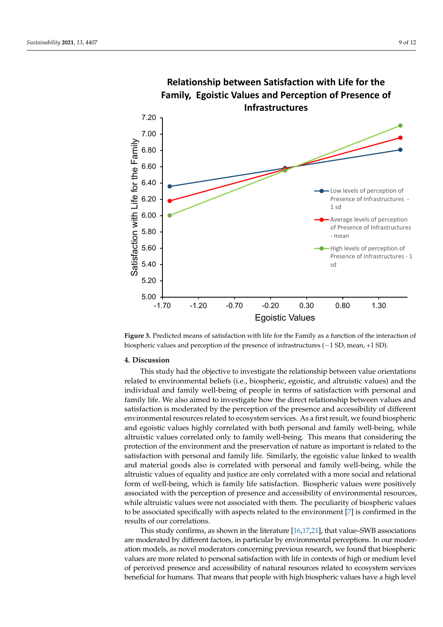<span id="page-8-0"></span>

**Relationship between Satisfaction with Life for the** 

biospheric values and perception of the presence of infrastructures (−1 SD, mean, +1 SD). **Figure 3.** Predicted means of satisfaction with life for the Family as a function of the interaction of

# **4. Discussion of the presence of infrastructures (−1 SD, mean**, +1 SD, mean, +1 SD, mean, +1 SD, mean, +1 SD, mean, +1 SD, mean, +1 SD, mean, +1 SD, mean, +1 SD, mean, +1 SD, mean, +1 SD, mean, +1 SD, mean, +1 SD, mean,

This study had the objective to investigate the relationship between value orientations related to environmental beliefs (i.e., biospheric, egoistic, and altruistic values) and the individual and family well-being of people in terms of satisfaction with personal and family life. We also aimed to investigate how the direct relationship between values and satisfaction is moderated by the perception of the presence and accessibility of different environmental resources related to ecosystem services. As a first result, we found biospheric and egoistic values highly correlated with both personal and family well-being, while altruistic values correlated only to family well-being. This means that considering the protection of the environment and the preservation of nature as important is related to the satisfaction with personal and family life. Similarly, the egoistic value linked to wealth and material goods also is correlated with personal and family well-being, while the altruistic values of equality and justice are only correlated with a more social and relational form of well-being, which is family life satisfaction. Biospheric values were positively associated with the perception of presence and accessibility of environmental resources, while altruistic values were not associated with them. The peculiarity of biospheric values to be associated specifically with aspects related to the environment [\[7\]](#page-10-4) is confirmed in the results of our correlations.

This study confirms, as shown in the literature [\[16,](#page-11-8)[17,](#page-11-9)[21\]](#page-11-13), that value–SWB associations are moderated by different factors, in particular by environmental perceptions. In our moderation models, as novel moderators concerning previous research, we found that biospheric values are more related to personal satisfaction with life in contexts of high or medium level of perceived presence and accessibility of natural resources related to ecosystem services beneficial for humans. That means that people with high biospheric values have a high level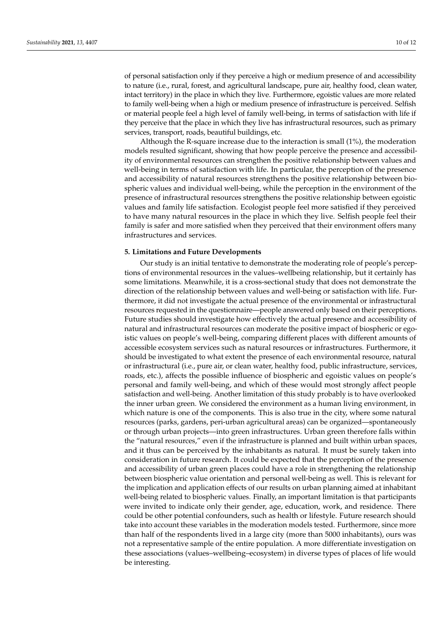of personal satisfaction only if they perceive a high or medium presence of and accessibility to nature (i.e., rural, forest, and agricultural landscape, pure air, healthy food, clean water, intact territory) in the place in which they live. Furthermore, egoistic values are more related to family well-being when a high or medium presence of infrastructure is perceived. Selfish or material people feel a high level of family well-being, in terms of satisfaction with life if they perceive that the place in which they live has infrastructural resources, such as primary services, transport, roads, beautiful buildings, etc.

Although the R-square increase due to the interaction is small (1%), the moderation models resulted significant, showing that how people perceive the presence and accessibility of environmental resources can strengthen the positive relationship between values and well-being in terms of satisfaction with life. In particular, the perception of the presence and accessibility of natural resources strengthens the positive relationship between biospheric values and individual well-being, while the perception in the environment of the presence of infrastructural resources strengthens the positive relationship between egoistic values and family life satisfaction. Ecologist people feel more satisfied if they perceived to have many natural resources in the place in which they live. Selfish people feel their family is safer and more satisfied when they perceived that their environment offers many infrastructures and services.

#### **5. Limitations and Future Developments**

Our study is an initial tentative to demonstrate the moderating role of people's perceptions of environmental resources in the values–wellbeing relationship, but it certainly has some limitations. Meanwhile, it is a cross-sectional study that does not demonstrate the direction of the relationship between values and well-being or satisfaction with life. Furthermore, it did not investigate the actual presence of the environmental or infrastructural resources requested in the questionnaire—people answered only based on their perceptions. Future studies should investigate how effectively the actual presence and accessibility of natural and infrastructural resources can moderate the positive impact of biospheric or egoistic values on people's well-being, comparing different places with different amounts of accessible ecosystem services such as natural resources or infrastructures. Furthermore, it should be investigated to what extent the presence of each environmental resource, natural or infrastructural (i.e., pure air, or clean water, healthy food, public infrastructure, services, roads, etc.), affects the possible influence of biospheric and egoistic values on people's personal and family well-being, and which of these would most strongly affect people satisfaction and well-being. Another limitation of this study probably is to have overlooked the inner urban green. We considered the environment as a human living environment, in which nature is one of the components. This is also true in the city, where some natural resources (parks, gardens, peri-urban agricultural areas) can be organized—spontaneously or through urban projects—into green infrastructures. Urban green therefore falls within the "natural resources," even if the infrastructure is planned and built within urban spaces, and it thus can be perceived by the inhabitants as natural. It must be surely taken into consideration in future research. It could be expected that the perception of the presence and accessibility of urban green places could have a role in strengthening the relationship between biospheric value orientation and personal well-being as well. This is relevant for the implication and application effects of our results on urban planning aimed at inhabitant well-being related to biospheric values. Finally, an important limitation is that participants were invited to indicate only their gender, age, education, work, and residence. There could be other potential confounders, such as health or lifestyle. Future research should take into account these variables in the moderation models tested. Furthermore, since more than half of the respondents lived in a large city (more than 5000 inhabitants), ours was not a representative sample of the entire population. A more differentiate investigation on these associations (values–wellbeing–ecosystem) in diverse types of places of life would be interesting.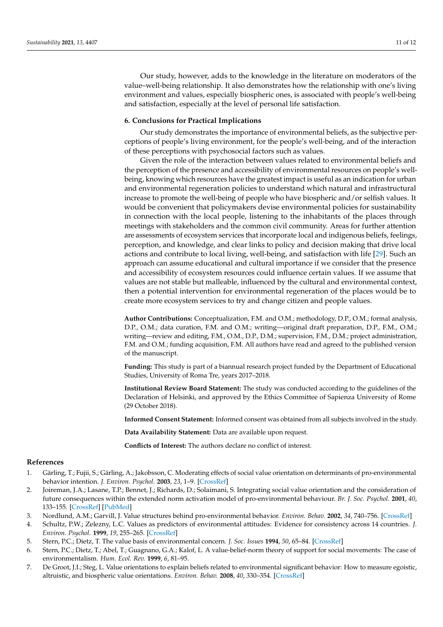Our study, however, adds to the knowledge in the literature on moderators of the value–well-being relationship. It also demonstrates how the relationship with one's living environment and values, especially biospheric ones, is associated with people's well-being and satisfaction, especially at the level of personal life satisfaction.

#### **6. Conclusions for Practical Implications**

Our study demonstrates the importance of environmental beliefs, as the subjective perceptions of people's living environment, for the people's well-being, and of the interaction of these perceptions with psychosocial factors such as values.

Given the role of the interaction between values related to environmental beliefs and the perception of the presence and accessibility of environmental resources on people's wellbeing, knowing which resources have the greatest impact is useful as an indication for urban and environmental regeneration policies to understand which natural and infrastructural increase to promote the well-being of people who have biospheric and/or selfish values. It would be convenient that policymakers devise environmental policies for sustainability in connection with the local people, listening to the inhabitants of the places through meetings with stakeholders and the common civil community. Areas for further attention are assessments of ecosystem services that incorporate local and indigenous beliefs, feelings, perception, and knowledge, and clear links to policy and decision making that drive local actions and contribute to local living, well-being, and satisfaction with life [\[29\]](#page-11-21). Such an approach can assume educational and cultural importance if we consider that the presence and accessibility of ecosystem resources could influence certain values. If we assume that values are not stable but malleable, influenced by the cultural and environmental context, then a potential intervention for environmental regeneration of the places would be to create more ecosystem services to try and change citizen and people values.

**Author Contributions:** Conceptualization, F.M. and O.M.; methodology, D.P., O.M.; formal analysis, D.P., O.M.; data curation, F.M. and O.M.; writing—original draft preparation, D.P., F.M., O.M.; writing—review and editing, F.M., O.M., D.P., D.M.; supervision, F.M., D.M.; project administration, F.M. and O.M.; funding acquisition, F.M. All authors have read and agreed to the published version of the manuscript.

**Funding:** This study is part of a biannual research project funded by the Department of Educational Studies, University of Roma Tre, years 2017–2018.

**Institutional Review Board Statement:** The study was conducted according to the guidelines of the Declaration of Helsinki, and approved by the Ethics Committee of Sapienza University of Rome (29 October 2018).

**Informed Consent Statement:** Informed consent was obtained from all subjects involved in the study.

**Data Availability Statement:** Data are available upon request.

**Conflicts of Interest:** The authors declare no conflict of interest.

#### **References**

- <span id="page-10-0"></span>1. Gärling, T.; Fujii, S.; Gärling, A.; Jakobsson, C. Moderating effects of social value orientation on determinants of pro-environmental behavior intention. *J. Environ. Psychol.* **2003**, *23*, 1–9. [\[CrossRef\]](http://doi.org/10.1016/S0272-4944(02)00081-6)
- 2. Joireman, J.A.; Lasane, T.P.; Bennet, J.; Richards, D.; Solaimani, S. Integrating social value orientation and the consideration of future consequences within the extended norm activation model of pro-environmental behaviour. *Br. J. Soc. Psychol.* **2001**, *40*, 133–155. [\[CrossRef\]](http://doi.org/10.1348/014466601164731) [\[PubMed\]](http://www.ncbi.nlm.nih.gov/pubmed/11329831)
- 3. Nordlund, A.M.; Garvill, J. Value structures behind pro-environmental behavior. *Environ. Behav.* **2002**, *34*, 740–756. [\[CrossRef\]](http://doi.org/10.1177/001391602237244)
- <span id="page-10-2"></span>4. Schultz, P.W.; Zelezny, L.C. Values as predictors of environmental attitudes: Evidence for consistency across 14 countries. *J. Environ. Psychol.* **1999**, *19*, 255–265. [\[CrossRef\]](http://doi.org/10.1006/jevp.1999.0129)
- <span id="page-10-3"></span>5. Stern, P.C.; Dietz, T. The value basis of environmental concern. *J. Soc. Issues* **1994**, *50*, 65–84. [\[CrossRef\]](http://doi.org/10.1111/j.1540-4560.1994.tb02420.x)
- <span id="page-10-1"></span>6. Stern, P.C.; Dietz, T.; Abel, T.; Guagnano, G.A.; Kalof, L. A value-belief-norm theory of support for social movements: The case of environmentalism. *Hum. Ecol. Rev.* **1999**, *6*, 81–95.
- <span id="page-10-4"></span>7. De Groot, J.I.; Steg, L. Value orientations to explain beliefs related to environmental significant behavior: How to measure egoistic, altruistic, and biospheric value orientations. *Environ. Behav.* **2008**, *40*, 330–354. [\[CrossRef\]](http://doi.org/10.1177/0013916506297831)